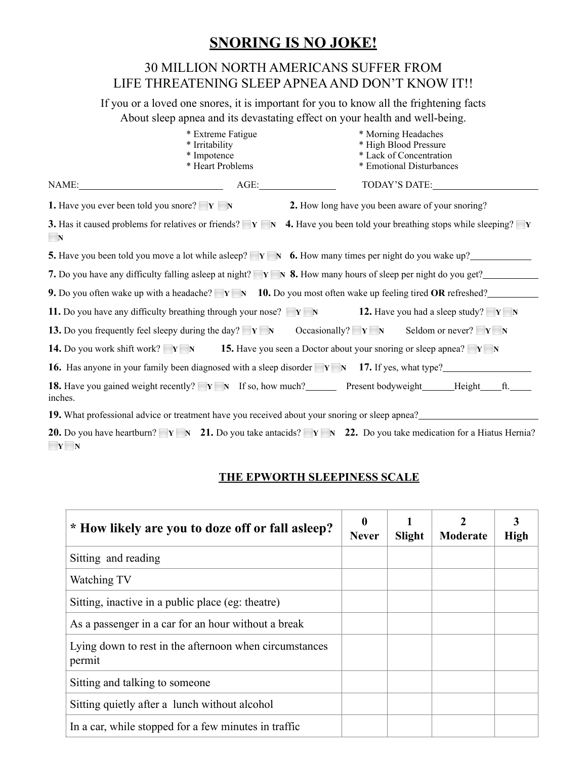## **SNORING IS NO JOKE!**

## 30 MILLION NORTH AMERICANS SUFFER FROM LIFE THREATENING SLEEP APNEA AND DON'T KNOW IT!!

If you or a loved one snores, it is important for you to know all the frightening facts About sleep apnea and its devastating effect on your health and well-being.

| * Extreme Fatigue                                                                                                                 | * Morning Headaches                                                                                                                                              |  |  |
|-----------------------------------------------------------------------------------------------------------------------------------|------------------------------------------------------------------------------------------------------------------------------------------------------------------|--|--|
| * Irritability                                                                                                                    | * High Blood Pressure                                                                                                                                            |  |  |
| * Lack of Concentration<br>* Impotence                                                                                            |                                                                                                                                                                  |  |  |
| * Heart Problems                                                                                                                  | * Emotional Disturbances                                                                                                                                         |  |  |
| AGE:<br>NAME:                                                                                                                     | TODAY'S DATE:                                                                                                                                                    |  |  |
| <b>1.</b> Have you ever been told you snore? $\mathbf{Y} \mathbf{N}$                                                              | 2. How long have you been aware of your snoring?                                                                                                                 |  |  |
| N                                                                                                                                 | <b>3.</b> Has it caused problems for relatives or friends? $\mathbf{v} \times \mathbf{A}$ . Have you been told your breathing stops while sleeping? $\mathbf{v}$ |  |  |
|                                                                                                                                   | <b>5.</b> Have you been told you move a lot while asleep? $\mathbf{Y} \times \mathbf{A}$ <b>6.</b> How many times per night do you wake up?                      |  |  |
|                                                                                                                                   | 7. Do you have any difficulty falling asleep at night? $\mathbf{Y} \mathbf{N}$ 8. How many hours of sleep per night do you get?                                  |  |  |
|                                                                                                                                   | <b>9.</b> Do you often wake up with a headache? $Y \rightharpoonup Y$ <b>10.</b> Do you most often wake up feeling tired OR refreshed?                           |  |  |
| 11. Do you have any difficulty breathing through your nose? $V \times N$ 12. Have you had a sleep study? $V \times N$             |                                                                                                                                                                  |  |  |
| 13. Do you frequently feel sleepy during the day? $\mathbf{Y} \mathbf{N}$                                                         | Occasionally? $Y \nN$<br>Seldom or never? $Y \times N$                                                                                                           |  |  |
| <b>14.</b> Do you work shift work? $V \times N$ <b>15.</b> Have you seen a Doctor about your snoring or sleep apnea? $V \times N$ |                                                                                                                                                                  |  |  |
|                                                                                                                                   | <b>16.</b> Has anyone in your family been diagnosed with a sleep disorder $V N$ <b>17.</b> If yes, what type?                                                    |  |  |
| <b>18.</b> Have you gained weight recently? <b>Y N</b> If so, how much? Present bodyweight Height<br>inches.                      | ft.                                                                                                                                                              |  |  |
| 19. What professional advice or treatment have you received about your snoring or sleep apnea?                                    |                                                                                                                                                                  |  |  |

**20.** Do you have heartburn?  $Y \times 21$ . Do you take antacids?  $Y \times 22$ . Do you take medication for a Hiatus Hernia? ⬜ **Y** ⬜ **N**

## **THE EPWORTH SLEEPINESS SCALE**

| * How likely are you to doze off or fall as leep?                | $\boldsymbol{0}$<br><b>Never</b> | <b>Slight</b> | Moderate | 3<br><b>High</b> |
|------------------------------------------------------------------|----------------------------------|---------------|----------|------------------|
| Sitting and reading                                              |                                  |               |          |                  |
| Watching TV                                                      |                                  |               |          |                  |
| Sitting, inactive in a public place (eg: theatre)                |                                  |               |          |                  |
| As a passenger in a car for an hour without a break              |                                  |               |          |                  |
| Lying down to rest in the afternoon when circumstances<br>permit |                                  |               |          |                  |
| Sitting and talking to some one                                  |                                  |               |          |                  |
| Sitting quietly after a lunch without alcohol                    |                                  |               |          |                  |
| In a car, while stopped for a few minutes in traffic             |                                  |               |          |                  |